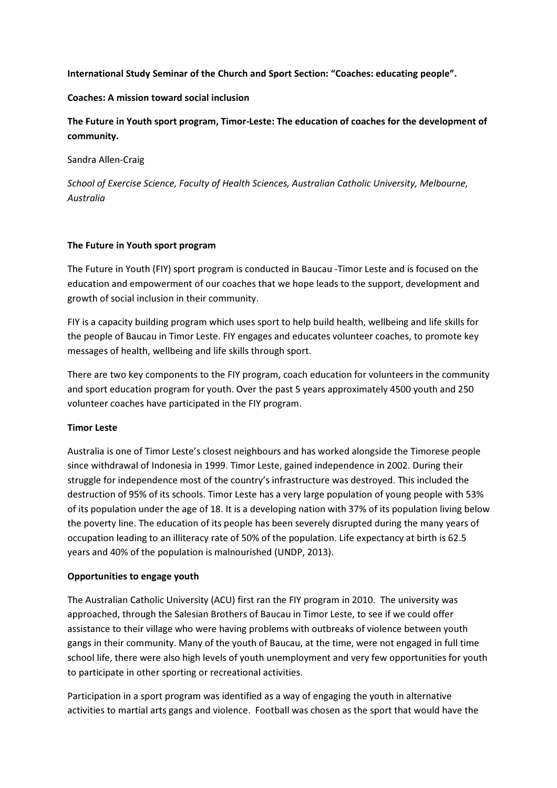### International Study Seminar of the Church and Sport Section: "Coaches: educating people".

### Coaches: A mission toward social inclusion

The Future in Youth sport program, Timor-Leste: The education of coaches for the development of community.

Sandra Allen-Craig

School of Exercise Science, Faculty of Health Sciences, Australian Catholic University, Melbourne, Australia

## The Future in Youth sport program

The Future in Youth (FIY) sport program is conducted in Baucau -Timor Leste and is focused on the education and empowerment of our coaches that we hope leads to the support, development and growth of social inclusion in their community.

FIY is a capacity building program which uses sport to help build health, wellbeing and life skills for the people of Baucau in Timor Leste. FIY engages and educates volunteer coaches, to promote key messages of health, wellbeing and life skills through sport.

There are two key components to the FIY program, coach education for volunteers in the community and sport education program for youth. Over the past 5 years approximately 4500 youth and 250 volunteer coaches have participated in the FIY program.

# Timor Leste

Australia is one of Timor Leste's closest neighbours and has worked alongside the Timorese people since withdrawal of Indonesia in 1999. Timor Leste, gained independence in 2002. During their struggle for independence most of the country's infrastructure was destroyed. This included the destruction of 95% of its schools. Timor Leste has a very large population of young people with 53% of its population under the age of 18. It is a developing nation with 37% of its population living below the poverty line. The education of its people has been severely disrupted during the many years of occupation leading to an illiteracy rate of 50% of the population. Life expectancy at birth is 62.5 years and 40% of the population is malnourished (UNDP, 2013).

### Opportunities to engage youth

The Australian Catholic University (ACU) first ran the FIY program in 2010. The university was approached, through the Salesian Brothers of Baucau in Timor Leste, to see if we could offer assistance to their village who were having problems with outbreaks of violence between youth gangs in their community. Many of the youth of Baucau, at the time, were not engaged in full time school life, there were also high levels of youth unemployment and very few opportunities for youth to participate in other sporting or recreational activities.

Participation in a sport program was identified as a way of engaging the youth in alternative activities to martial arts gangs and violence. Football was chosen as the sport that would have the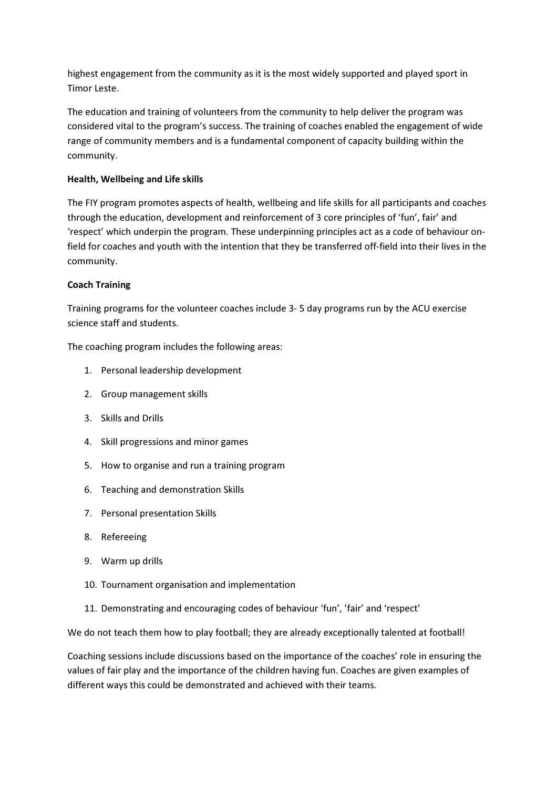highest engagement from the community as it is the most widely supported and played sport in Timor Leste.

The education and training of volunteers from the community to help deliver the program was considered vital to the program's success. The training of coaches enabled the engagement of wide range of community members and is a fundamental component of capacity building within the community.

# Health, Wellbeing and Life skills

The FIY program promotes aspects of health, wellbeing and life skills for all participants and coaches through the education, development and reinforcement of 3 core principles of 'fun', fair' and 'respect' which underpin the program. These underpinning principles act as a code of behaviour onfield for coaches and youth with the intention that they be transferred off-field into their lives in the community.

# Coach Training

Training programs for the volunteer coaches include 3- 5 day programs run by the ACU exercise science staff and students.

The coaching program includes the following areas:

- 1. Personal leadership development
- 2. Group management skills
- 3. Skills and Drills
- 4. Skill progressions and minor games
- 5. How to organise and run a training program
- 6. Teaching and demonstration Skills
- 7. Personal presentation Skills
- 8. Refereeing
- 9. Warm up drills
- 10. Tournament organisation and implementation
- 11. Demonstrating and encouraging codes of behaviour 'fun', 'fair' and 'respect'

We do not teach them how to play football; they are already exceptionally talented at football!

Coaching sessions include discussions based on the importance of the coaches' role in ensuring the values of fair play and the importance of the children having fun. Coaches are given examples of different ways this could be demonstrated and achieved with their teams.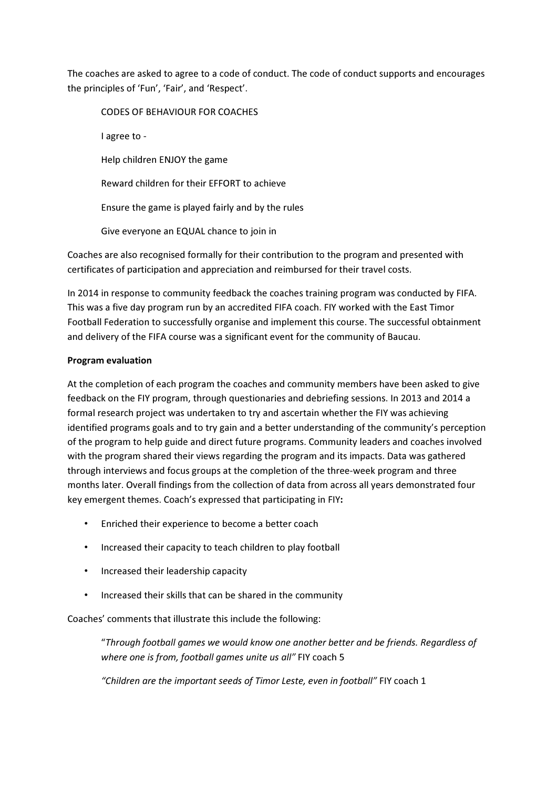The coaches are asked to agree to a code of conduct. The code of conduct supports and encourages the principles of 'Fun', 'Fair', and 'Respect'.

CODES OF BEHAVIOUR FOR COACHES I agree to - Help children ENJOY the game Reward children for their EFFORT to achieve Ensure the game is played fairly and by the rules Give everyone an EQUAL chance to join in

Coaches are also recognised formally for their contribution to the program and presented with certificates of participation and appreciation and reimbursed for their travel costs.

In 2014 in response to community feedback the coaches training program was conducted by FIFA. This was a five day program run by an accredited FIFA coach. FIY worked with the East Timor Football Federation to successfully organise and implement this course. The successful obtainment and delivery of the FIFA course was a significant event for the community of Baucau.

## Program evaluation

At the completion of each program the coaches and community members have been asked to give feedback on the FIY program, through questionaries and debriefing sessions. In 2013 and 2014 a formal research project was undertaken to try and ascertain whether the FIY was achieving identified programs goals and to try gain and a better understanding of the community's perception of the program to help guide and direct future programs. Community leaders and coaches involved with the program shared their views regarding the program and its impacts. Data was gathered through interviews and focus groups at the completion of the three-week program and three months later. Overall findings from the collection of data from across all years demonstrated four key emergent themes. Coach's expressed that participating in FIY:

- Enriched their experience to become a better coach
- Increased their capacity to teach children to play football
- Increased their leadership capacity
- Increased their skills that can be shared in the community

Coaches' comments that illustrate this include the following:

"Through football games we would know one another better and be friends. Regardless of where one is from, football games unite us all" FIY coach 5

"Children are the important seeds of Timor Leste, even in football" FIY coach 1